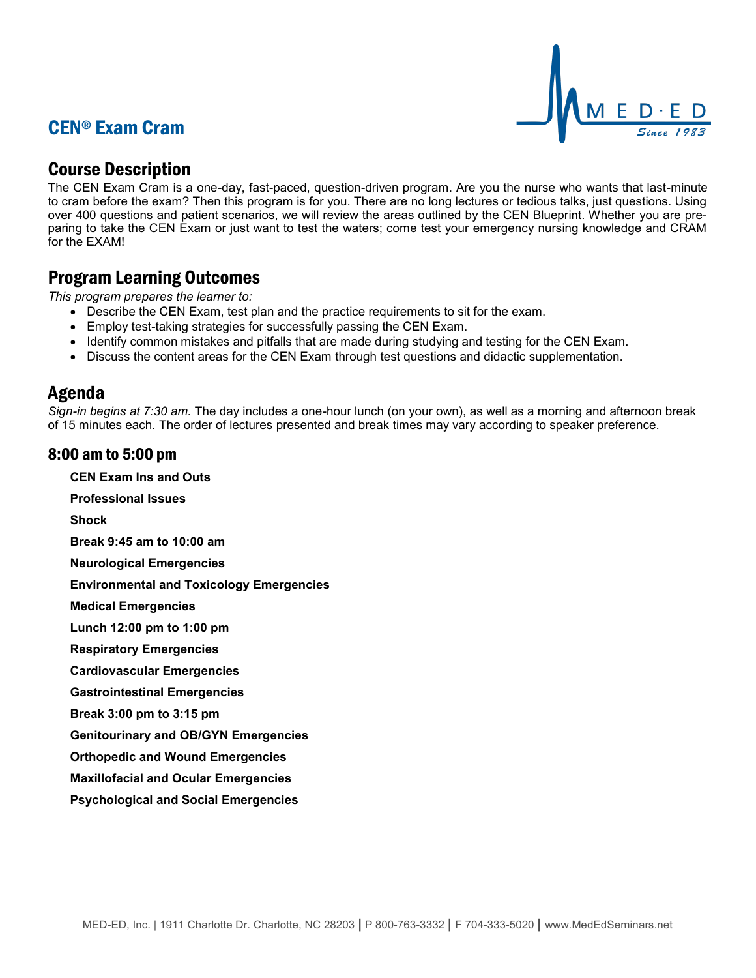# CEN® Exam Cram



## Course Description

The CEN Exam Cram is a one-day, fast-paced, question-driven program. Are you the nurse who wants that last-minute to cram before the exam? Then this program is for you. There are no long lectures or tedious talks, just questions. Using over 400 questions and patient scenarios, we will review the areas outlined by the CEN Blueprint. Whether you are preparing to take the CEN Exam or just want to test the waters; come test your emergency nursing knowledge and CRAM for the EXAM!

## Program Learning Outcomes

*This program prepares the learner to:*

- Describe the CEN Exam, test plan and the practice requirements to sit for the exam.
- Employ test-taking strategies for successfully passing the CEN Exam.
- Identify common mistakes and pitfalls that are made during studying and testing for the CEN Exam.
- Discuss the content areas for the CEN Exam through test questions and didactic supplementation.

### Agenda

*Sign-in begins at 7:30 am.* The day includes a one-hour lunch (on your own), as well as a morning and afternoon break of 15 minutes each. The order of lectures presented and break times may vary according to speaker preference.

### 8:00 am to 5:00 pm

**CEN Exam Ins and Outs**

**Professional Issues**

**Shock**

**Break 9:45 am to 10:00 am**

**Neurological Emergencies**

**Environmental and Toxicology Emergencies**

**Medical Emergencies**

**Lunch 12:00 pm to 1:00 pm**

**Respiratory Emergencies**

**Cardiovascular Emergencies**

**Gastrointestinal Emergencies**

**Break 3:00 pm to 3:15 pm**

**Genitourinary and OB/GYN Emergencies**

**Orthopedic and Wound Emergencies**

**Maxillofacial and Ocular Emergencies**

**Psychological and Social Emergencies**